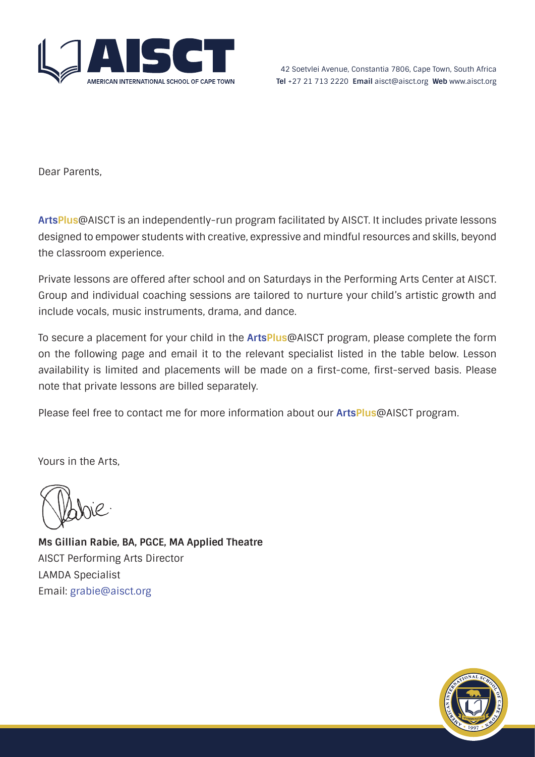

Dear Parents,

**ArtsPlus**@AISCT is an independently-run program facilitated by AISCT. It includes private lessons designed to empower students with creative, expressive and mindful resources and skills, beyond the classroom experience.

Private lessons are offered after school and on Saturdays in the Performing Arts Center at AISCT. Group and individual coaching sessions are tailored to nurture your child's artistic growth and include vocals, music instruments, drama, and dance.

To secure a placement for your child in the **ArtsPlus**@AISCT program, please complete the form on the following page and email it to the relevant specialist listed in the table below. Lesson availability is limited and placements will be made on a first-come, first-served basis. Please note that private lessons are billed separately.

Please feel free to contact me for more information about our **ArtsPlus**@AISCT program.

Yours in the Arts,

**Ms Gillian Rabie, BA, PGCE, MA Applied Theatre** AISCT Performing Arts Director LAMDA Specialist Email: [grabie@aisct.org](mailto:grabie%40aisct.org?subject=Enquiry%3A%20ArtsPlus%40AISCT)

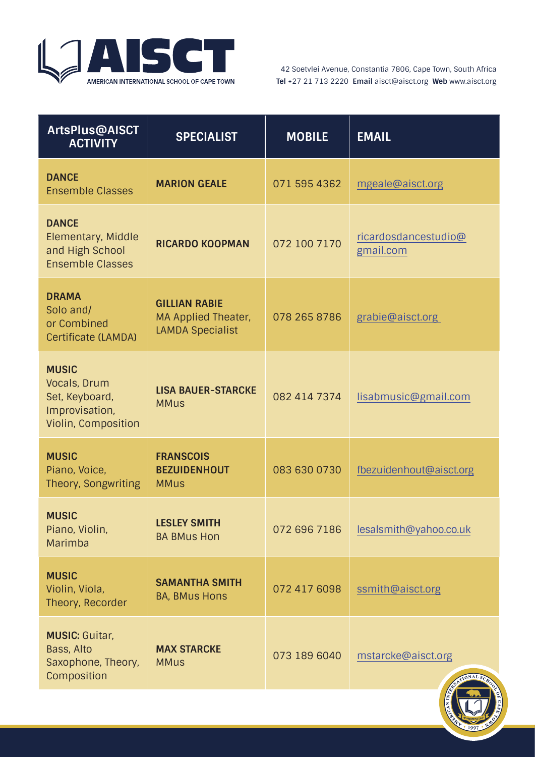

42 Soetvlei Avenue, Constantia 7806, Cape Town, South Africa **Tel** +27 21 713 2220 **Email** aisct@aisct.org **Web** www.aisct.org

| <b>ArtsPlus@AISCT</b><br><b>ACTIVITY</b>                                                | <b>SPECIALIST</b>                                                             | <b>MOBILE</b> | <b>EMAIL</b>                      |
|-----------------------------------------------------------------------------------------|-------------------------------------------------------------------------------|---------------|-----------------------------------|
| <b>DANCE</b><br><b>Ensemble Classes</b>                                                 | <b>MARION GEALE</b>                                                           | 071 595 4362  | mgeale@aisct.org                  |
| <b>DANCE</b><br>Elementary, Middle<br>and High School<br><b>Ensemble Classes</b>        | <b>RICARDO KOOPMAN</b>                                                        | 072 100 7170  | ricardosdancestudio@<br>gmail.com |
| <b>DRAMA</b><br>Solo and/<br>or Combined<br><b>Certificate (LAMDA)</b>                  | <b>GILLIAN RABIE</b><br><b>MA Applied Theater,</b><br><b>LAMDA Specialist</b> | 078 265 8786  | grabie@aisct.org                  |
| <b>MUSIC</b><br>Vocals, Drum<br>Set, Keyboard,<br>Improvisation,<br>Violin, Composition | <b>LISA BAUER-STARCKE</b><br><b>MMus</b>                                      | 082 414 7374  | lisabmusic@gmail.com              |
| <b>MUSIC</b><br>Piano, Voice,<br>Theory, Songwriting                                    | <b>FRANSCOIS</b><br><b>BEZUIDENHOUT</b><br><b>MMus</b>                        | 083 630 0730  | fbezuidenhout@aisct.org           |
| <b>MUSIC</b><br>Piano, Violin,<br>Marimba                                               | <b>LESLEY SMITH</b><br><b>BA BMus Hon</b>                                     | 072 696 7186  | lesalsmith@yahoo.co.uk            |
| <b>MUSIC</b><br>Violin, Viola,<br>Theory, Recorder                                      | <b>SAMANTHA SMITH</b><br><b>BA, BMus Hons</b>                                 | 072 417 6098  | ssmith@aisct.org                  |
| <b>MUSIC: Guitar,</b><br>Bass, Alto<br>Saxophone, Theory,<br>Composition                | <b>MAX STARCKE</b><br><b>MMus</b>                                             | 073 189 6040  | mstarcke@aisct.org                |